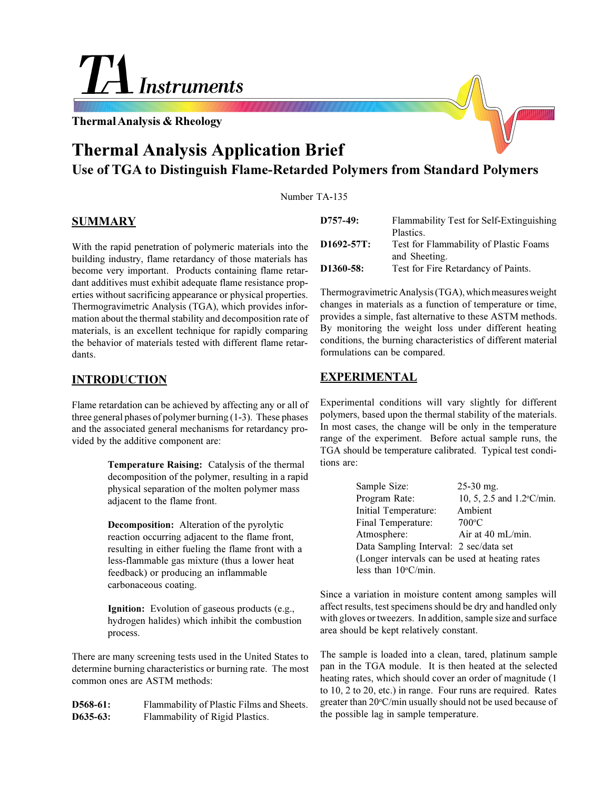# Instruments

**Thermal Analysis & Rheology**

# **Thermal Analysis Application Brief Use of TGA to Distinguish Flame-Retarded Polymers from Standard Polymers**

Number TA-135

#### **SUMMARY**

With the rapid penetration of polymeric materials into the building industry, flame retardancy of those materials has become very important. Products containing flame retardant additives must exhibit adequate flame resistance properties without sacrificing appearance or physical properties. Thermogravimetric Analysis (TGA), which provides information about the thermal stability and decomposition rate of materials, is an excellent technique for rapidly comparing the behavior of materials tested with different flame retardants.

## **INTRODUCTION**

Flame retardation can be achieved by affecting any or all of three general phases of polymer burning (1-3). These phases and the associated general mechanisms for retardancy provided by the additive component are:

> **Temperature Raising:** Catalysis of the thermal decomposition of the polymer, resulting in a rapid physical separation of the molten polymer mass adjacent to the flame front.

**Decomposition:** Alteration of the pyrolytic reaction occurring adjacent to the flame front, resulting in either fueling the flame front with a less-flammable gas mixture (thus a lower heat feedback) or producing an inflammable carbonaceous coating.

**Ignition:** Evolution of gaseous products (e.g., hydrogen halides) which inhibit the combustion process.

There are many screening tests used in the United States to determine burning characteristics or burning rate. The most common ones are ASTM methods:

**D568-61:** Flammability of Plastic Films and Sheets. **D635-63:** Flammability of Rigid Plastics.

| $D757-49:$             | Flammability Test for Self-Extinguishing<br>Plastics.   |
|------------------------|---------------------------------------------------------|
| $D1692 - 57T$ :        | Test for Flammability of Plastic Foams<br>and Sheeting. |
| D <sub>1360</sub> -58: | Test for Fire Retardancy of Paints.                     |

Thermogravimetric Analysis (TGA), which measures weight changes in materials as a function of temperature or time, provides a simple, fast alternative to these ASTM methods. By monitoring the weight loss under different heating conditions, the burning characteristics of different material formulations can be compared.

## **EXPERIMENTAL**

Experimental conditions will vary slightly for different polymers, based upon the thermal stability of the materials. In most cases, the change will be only in the temperature range of the experiment. Before actual sample runs, the TGA should be temperature calibrated. Typical test conditions are:

| Sample Size:                                   | $25-30$ mg.               |  |  |  |
|------------------------------------------------|---------------------------|--|--|--|
| Program Rate:                                  | 10, 5, 2.5 and 1.2°C/min. |  |  |  |
| Initial Temperature:                           | Ambient                   |  |  |  |
| Final Temperature:                             | $700^{\circ}$ C           |  |  |  |
| Atmosphere:                                    | Air at 40 mL/min.         |  |  |  |
| Data Sampling Interval: 2 sec/data set         |                           |  |  |  |
| (Longer intervals can be used at heating rates |                           |  |  |  |
| less than $10^{\circ}$ C/min.                  |                           |  |  |  |

Since a variation in moisture content among samples will affect results, test specimens should be dry and handled only with gloves or tweezers. In addition, sample size and surface area should be kept relatively constant.

The sample is loaded into a clean, tared, platinum sample pan in the TGA module. It is then heated at the selected heating rates, which should cover an order of magnitude (1 to 10, 2 to 20, etc.) in range. Four runs are required. Rates greater than 20°C/min usually should not be used because of the possible lag in sample temperature.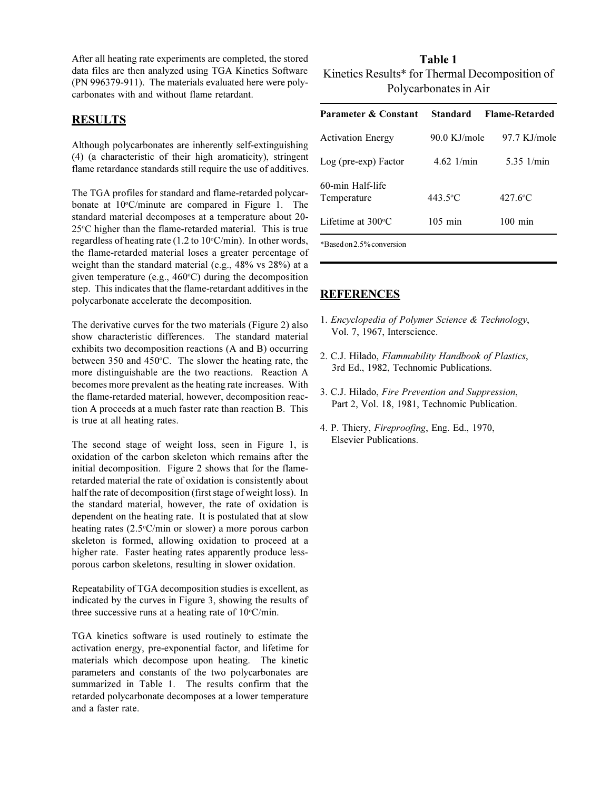After all heating rate experiments are completed, the stored data files are then analyzed using TGA Kinetics Software (PN 996379-911). The materials evaluated here were polycarbonates with and without flame retardant.

#### **RESULTS**

Although polycarbonates are inherently self-extinguishing (4) (a characteristic of their high aromaticity), stringent flame retardance standards still require the use of additives.

The TGA profiles for standard and flame-retarded polycarbonate at 10°C/minute are compared in Figure 1. The standard material decomposes at a temperature about 20- 25°C higher than the flame-retarded material. This is true regardless of heating rate (1.2 to 10°C/min). In other words, the flame-retarded material loses a greater percentage of weight than the standard material (e.g., 48% vs 28%) at a given temperature (e.g., 460°C) during the decomposition step. This indicates that the flame-retardant additives in the polycarbonate accelerate the decomposition.

The derivative curves for the two materials (Figure 2) also show characteristic differences. The standard material exhibits two decomposition reactions (A and B) occurring between 350 and 450°C. The slower the heating rate, the more distinguishable are the two reactions. Reaction A becomes more prevalent as the heating rate increases. With the flame-retarded material, however, decomposition reaction A proceeds at a much faster rate than reaction B. This is true at all heating rates.

The second stage of weight loss, seen in Figure 1, is oxidation of the carbon skeleton which remains after the initial decomposition. Figure 2 shows that for the flameretarded material the rate of oxidation is consistently about half the rate of decomposition (first stage of weight loss). In the standard material, however, the rate of oxidation is dependent on the heating rate. It is postulated that at slow heating rates (2.5°C/min or slower) a more porous carbon skeleton is formed, allowing oxidation to proceed at a higher rate. Faster heating rates apparently produce lessporous carbon skeletons, resulting in slower oxidation.

Repeatability of TGA decomposition studies is excellent, as indicated by the curves in Figure 3, showing the results of three successive runs at a heating rate of  $10^{\circ}$ C/min.

TGA kinetics software is used routinely to estimate the activation energy, pre-exponential factor, and lifetime for materials which decompose upon heating. The kinetic parameters and constants of the two polycarbonates are summarized in Table 1. The results confirm that the retarded polycarbonate decomposes at a lower temperature and a faster rate.

**Table 1** Kinetics Results\* for Thermal Decomposition of Polycarbonates in Air

| Parameter & Constant            | Standard          | <b>Flame-Retarded</b> |
|---------------------------------|-------------------|-----------------------|
| <b>Activation Energy</b>        | $90.0$ KJ/mole    | $97.7$ KJ/mole        |
| Log (pre-exp) Factor            | $4.62$ 1/min      | $5.35$ 1/min          |
| 60-min Half-life<br>Temperature | 443.5°C           | $427.6$ °C            |
| Lifetime at $300^{\circ}$ C     | $105 \text{ min}$ | $100 \text{ min}$     |
|                                 |                   |                       |

\*Based on 2.5% conversion

## **REFERENCES**

- 1. *Encyclopedia of Polymer Science & Technology*, Vol. 7, 1967, Interscience.
- 2. C.J. Hilado, *Flammability Handbook of Plastics*, 3rd Ed., 1982, Technomic Publications.
- 3. C.J. Hilado, *Fire Prevention and Suppression*, Part 2, Vol. 18, 1981, Technomic Publication.
- 4. P. Thiery, *Fireproofing*, Eng. Ed., 1970, Elsevier Publications.